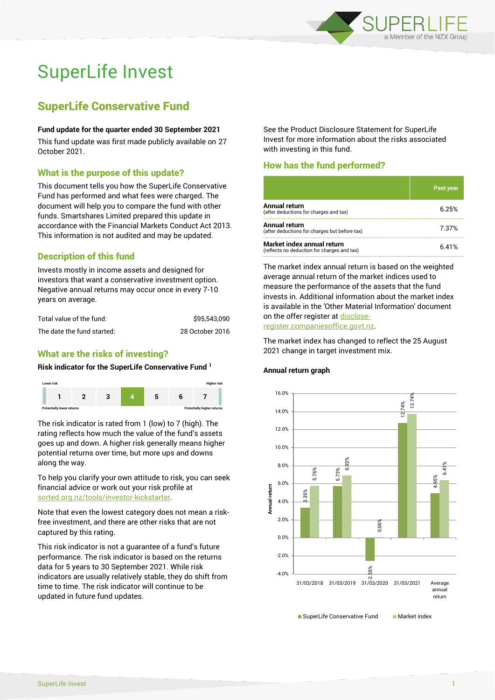

# SuperLife Invest

## SuperLife Conservative Fund

#### **Fund update for the quarter ended 30 September 2021**

This fund update was first made publicly available on 27 October 2021.

## What is the purpose of this update?

This document tells you how the SuperLife Conservative Fund has performed and what fees were charged. The document will help you to compare the fund with other funds. Smartshares Limited prepared this update in accordance with the Financial Markets Conduct Act 2013. This information is not audited and may be updated.

## Description of this fund

Invests mostly in income assets and designed for investors that want a conservative investment option. Negative annual returns may occur once in every 7-10 years on average.

| Total value of the fund:   | \$95.543.090    |
|----------------------------|-----------------|
| The date the fund started: | 28 October 2016 |

## What are the risks of investing?

#### **Risk indicator for the SuperLife Conservative Fund <sup>1</sup>**



The risk indicator is rated from 1 (low) to 7 (high). The rating reflects how much the value of the fund's assets goes up and down. A higher risk generally means higher potential returns over time, but more ups and downs along the way.

To help you clarify your own attitude to risk, you can seek financial advice or work out your risk profile at [sorted.org.nz/tools/investor-kickstarter.](http://www.sorted.org.nz/tools/investor-kickstarter)

Note that even the lowest category does not mean a riskfree investment, and there are other risks that are not captured by this rating.

This risk indicator is not a guarantee of a fund's future performance. The risk indicator is based on the returns data for 5 years to 30 September 2021. While risk indicators are usually relatively stable, they do shift from time to time. The risk indicator will continue to be updated in future fund updates.

See the Product Disclosure Statement for SuperLife Invest for more information about the risks associated with investing in this fund.

## How has the fund performed?

|                                                                           | Past year |
|---------------------------------------------------------------------------|-----------|
| <b>Annual return</b><br>(after deductions for charges and tax)            | 6.25%     |
| Annual return<br>(after deductions for charges but before tax)            | 7.37%     |
| Market index annual return<br>(reflects no deduction for charges and tax) | 6.41%     |

The market index annual return is based on the weighted average annual return of the market indices used to measure the performance of the assets that the fund invests in. Additional information about the market index is available in the 'Other Material Information' document on the offer register a[t disclose](http://www.disclose-register.companiesoffice.govt.nz/)[register.companiesoffice.govt.nz.](http://www.disclose-register.companiesoffice.govt.nz/)

The market index has changed to reflect the 25 August 2021 change in target investment mix.

#### **Annual return graph**

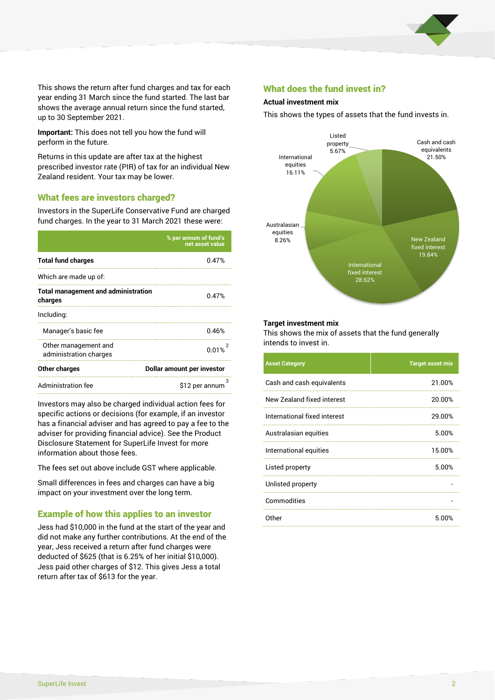

This shows the return after fund charges and tax for each year ending 31 March since the fund started. The last bar shows the average annual return since the fund started, up to 30 September 2021.

**Important:** This does not tell you how the fund will perform in the future.

Returns in this update are after tax at the highest prescribed investor rate (PIR) of tax for an individual New Zealand resident. Your tax may be lower.

## What fees are investors charged?

Investors in the SuperLife Conservative Fund are charged fund charges. In the year to 31 March 2021 these were:

|                                                       | % per annum of fund's<br>net asset value |  |  |
|-------------------------------------------------------|------------------------------------------|--|--|
| <b>Total fund charges</b>                             | 0.47%                                    |  |  |
| Which are made up of:                                 |                                          |  |  |
| <b>Total management and administration</b><br>charges | 0.47%                                    |  |  |
| Including:                                            |                                          |  |  |
| Manager's basic fee                                   | 0.46%                                    |  |  |
| Other management and<br>administration charges        | 0.01%                                    |  |  |
| Other charges                                         | Dollar amount per investor               |  |  |
| Administration fee                                    | з<br>\$12 per annum                      |  |  |

Investors may also be charged individual action fees for specific actions or decisions (for example, if an investor has a financial adviser and has agreed to pay a fee to the adviser for providing financial advice). See the Product Disclosure Statement for SuperLife Invest for more information about those fees.

The fees set out above include GST where applicable.

Small differences in fees and charges can have a big impact on your investment over the long term.

## Example of how this applies to an investor

Jess had \$10,000 in the fund at the start of the year and did not make any further contributions. At the end of the year, Jess received a return after fund charges were deducted of \$625 (that is 6.25% of her initial \$10,000). Jess paid other charges of \$12. This gives Jess a total return after tax of \$613 for the year.

### What does the fund invest in?

#### **Actual investment mix**

This shows the types of assets that the fund invests in.



#### **Target investment mix**

This shows the mix of assets that the fund generally intends to invest in.

| <b>Asset Category</b>        | <b>Target asset mix</b> |
|------------------------------|-------------------------|
| Cash and cash equivalents    | 21.00%                  |
| New Zealand fixed interest   | 20.00%                  |
| International fixed interest | 29.00%                  |
| Australasian equities        | 5.00%                   |
| International equities       | 15.00%                  |
| Listed property              | 5.00%                   |
| Unlisted property            |                         |
| Commodities                  |                         |
| Other                        | 5.00%                   |